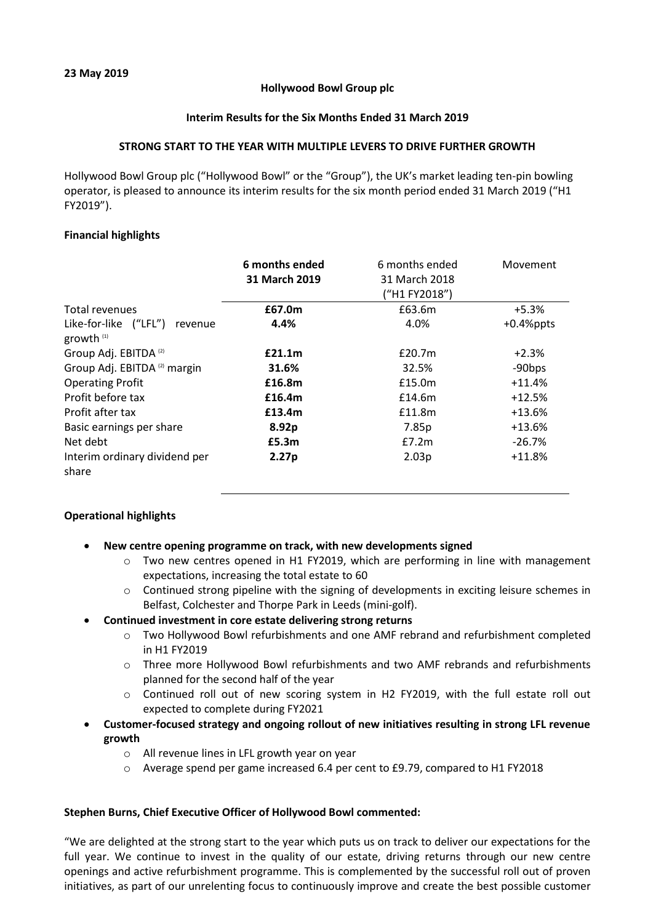## **Hollywood Bowl Group plc**

## **Interim Results for the Six Months Ended 31 March 2019**

## **STRONG START TO THE YEAR WITH MULTIPLE LEVERS TO DRIVE FURTHER GROWTH**

Hollywood Bowl Group plc ("Hollywood Bowl" or the "Group"), the UK's market leading ten-pin bowling operator, is pleased to announce its interim results for the six month period ended 31 March 2019 ("H1 FY2019").

## **Financial highlights**

|                                                  | 6 months ended    | 6 months ended | Movement     |
|--------------------------------------------------|-------------------|----------------|--------------|
|                                                  | 31 March 2019     | 31 March 2018  |              |
|                                                  |                   | ("H1 FY2018")  |              |
| Total revenues                                   | £67.0m            | £63.6m         | $+5.3%$      |
| Like-for-like ("LFL")<br>revenue<br>growth $(1)$ | 4.4%              | 4.0%           | $+0.4%$ ppts |
| Group Adj. EBITDA <sup>(2)</sup>                 | £21.1m            | £20.7m         | $+2.3%$      |
| Group Adj. EBITDA <sup>(2)</sup> margin          | 31.6%             | 32.5%          | -90bps       |
| <b>Operating Profit</b>                          | £16.8m            | £15.0m         | $+11.4%$     |
| Profit before tax                                | £16.4m            | £14.6m         | $+12.5%$     |
| Profit after tax                                 | £13.4m            | £11.8m         | $+13.6%$     |
| Basic earnings per share                         | 8.92p             | 7.85p          | $+13.6%$     |
| Net debt                                         | £5.3m             | E7.2m          | $-26.7%$     |
| Interim ordinary dividend per<br>share           | 2.27 <sub>p</sub> | 2.03p          | $+11.8%$     |

## **Operational highlights**

- **New centre opening programme on track, with new developments signed**
	- $\circ$  Two new centres opened in H1 FY2019, which are performing in line with management expectations, increasing the total estate to 60
	- $\circ$  Continued strong pipeline with the signing of developments in exciting leisure schemes in Belfast, Colchester and Thorpe Park in Leeds (mini-golf).

## **Continued investment in core estate delivering strong returns**

- o Two Hollywood Bowl refurbishments and one AMF rebrand and refurbishment completed in H1 FY2019
- o Three more Hollywood Bowl refurbishments and two AMF rebrands and refurbishments planned for the second half of the year
- o Continued roll out of new scoring system in H2 FY2019, with the full estate roll out expected to complete during FY2021
- **Customer-focused strategy and ongoing rollout of new initiatives resulting in strong LFL revenue growth**
	- o All revenue lines in LFL growth year on year
	- o Average spend per game increased 6.4 per cent to £9.79, compared to H1 FY2018

## **Stephen Burns, Chief Executive Officer of Hollywood Bowl commented:**

"We are delighted at the strong start to the year which puts us on track to deliver our expectations for the full year. We continue to invest in the quality of our estate, driving returns through our new centre openings and active refurbishment programme. This is complemented by the successful roll out of proven initiatives, as part of our unrelenting focus to continuously improve and create the best possible customer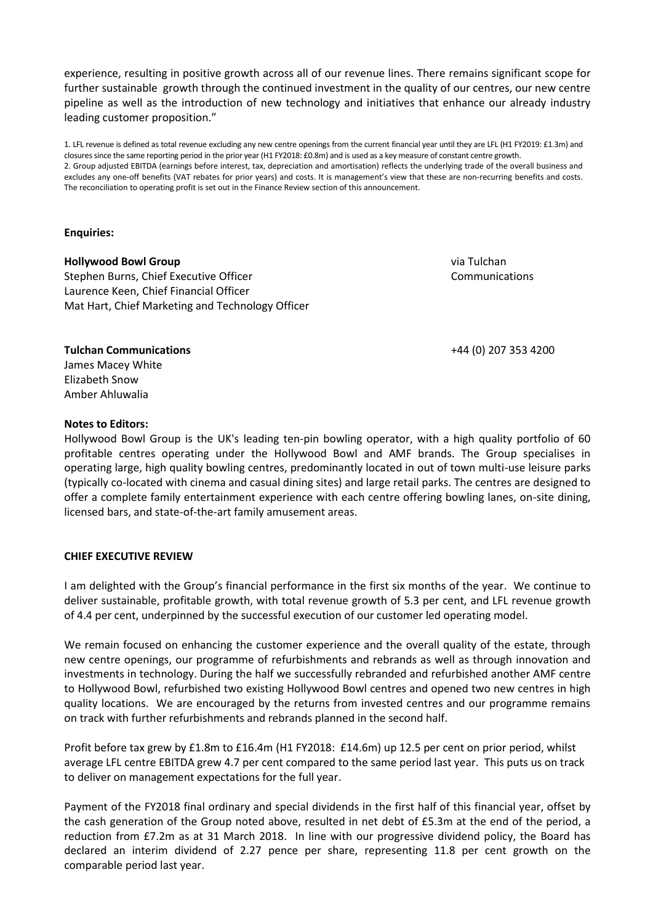experience, resulting in positive growth across all of our revenue lines. There remains significant scope for further sustainable growth through the continued investment in the quality of our centres, our new centre pipeline as well as the introduction of new technology and initiatives that enhance our already industry leading customer proposition."

1. LFL revenue is defined as total revenue excluding any new centre openings from the current financial year until they are LFL (H1 FY2019: £1.3m) and closures since the same reporting period in the prior year (H1 FY2018: £0.8m) and is used as a key measure of constant centre growth. 2. Group adjusted EBITDA (earnings before interest, tax, depreciation and amortisation) reflects the underlying trade of the overall business and excludes any one-off benefits (VAT rebates for prior years) and costs. It is management's view that these are non-recurring benefits and costs. The reconciliation to operating profit is set out in the Finance Review section of this announcement.

## **Enquiries:**

**Hollywood Bowl Group**  Stephen Burns, Chief Executive Officer Laurence Keen, Chief Financial Officer Mat Hart, Chief Marketing and Technology Officer via Tulchan Communications

+44 (0) 207 353 4200

# Amber Ahluwalia

**Tulchan Communications** James Macey White Elizabeth Snow

## **Notes to Editors:**

Hollywood Bowl Group is the UK's leading ten-pin bowling operator, with a high quality portfolio of 60 profitable centres operating under the Hollywood Bowl and AMF brands. The Group specialises in operating large, high quality bowling centres, predominantly located in out of town multi-use leisure parks (typically co-located with cinema and casual dining sites) and large retail parks. The centres are designed to offer a complete family entertainment experience with each centre offering bowling lanes, on-site dining, licensed bars, and state-of-the-art family amusement areas.

### **CHIEF EXECUTIVE REVIEW**

I am delighted with the Group's financial performance in the first six months of the year. We continue to deliver sustainable, profitable growth, with total revenue growth of 5.3 per cent, and LFL revenue growth of 4.4 per cent, underpinned by the successful execution of our customer led operating model.

We remain focused on enhancing the customer experience and the overall quality of the estate, through new centre openings, our programme of refurbishments and rebrands as well as through innovation and investments in technology. During the half we successfully rebranded and refurbished another AMF centre to Hollywood Bowl, refurbished two existing Hollywood Bowl centres and opened two new centres in high quality locations. We are encouraged by the returns from invested centres and our programme remains on track with further refurbishments and rebrands planned in the second half.

Profit before tax grew by £1.8m to £16.4m (H1 FY2018: £14.6m) up 12.5 per cent on prior period, whilst average LFL centre EBITDA grew 4.7 per cent compared to the same period last year. This puts us on track to deliver on management expectations for the full year.

Payment of the FY2018 final ordinary and special dividends in the first half of this financial year, offset by the cash generation of the Group noted above, resulted in net debt of £5.3m at the end of the period, a reduction from £7.2m as at 31 March 2018. In line with our progressive dividend policy, the Board has declared an interim dividend of 2.27 pence per share, representing 11.8 per cent growth on the comparable period last year.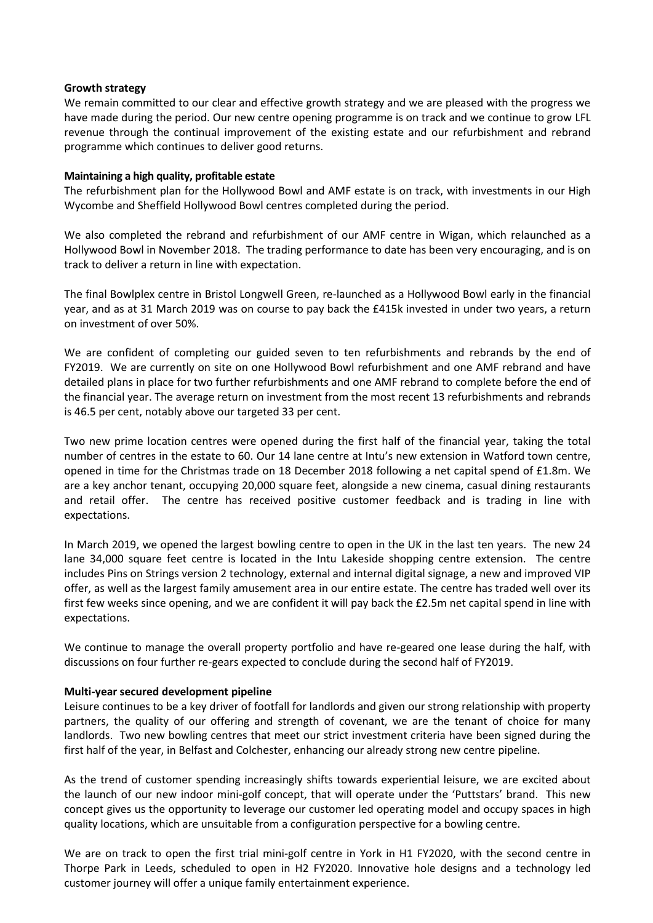## **Growth strategy**

We remain committed to our clear and effective growth strategy and we are pleased with the progress we have made during the period. Our new centre opening programme is on track and we continue to grow LFL revenue through the continual improvement of the existing estate and our refurbishment and rebrand programme which continues to deliver good returns.

## **Maintaining a high quality, profitable estate**

The refurbishment plan for the Hollywood Bowl and AMF estate is on track, with investments in our High Wycombe and Sheffield Hollywood Bowl centres completed during the period.

We also completed the rebrand and refurbishment of our AMF centre in Wigan, which relaunched as a Hollywood Bowl in November 2018. The trading performance to date has been very encouraging, and is on track to deliver a return in line with expectation.

The final Bowlplex centre in Bristol Longwell Green, re-launched as a Hollywood Bowl early in the financial year, and as at 31 March 2019 was on course to pay back the £415k invested in under two years, a return on investment of over 50%.

We are confident of completing our guided seven to ten refurbishments and rebrands by the end of FY2019. We are currently on site on one Hollywood Bowl refurbishment and one AMF rebrand and have detailed plans in place for two further refurbishments and one AMF rebrand to complete before the end of the financial year. The average return on investment from the most recent 13 refurbishments and rebrands is 46.5 per cent, notably above our targeted 33 per cent.

Two new prime location centres were opened during the first half of the financial year, taking the total number of centres in the estate to 60. Our 14 lane centre at Intu's new extension in Watford town centre, opened in time for the Christmas trade on 18 December 2018 following a net capital spend of £1.8m. We are a key anchor tenant, occupying 20,000 square feet, alongside a new cinema, casual dining restaurants and retail offer. The centre has received positive customer feedback and is trading in line with expectations.

In March 2019, we opened the largest bowling centre to open in the UK in the last ten years. The new 24 lane 34,000 square feet centre is located in the Intu Lakeside shopping centre extension. The centre includes Pins on Strings version 2 technology, external and internal digital signage, a new and improved VIP offer, as well as the largest family amusement area in our entire estate. The centre has traded well over its first few weeks since opening, and we are confident it will pay back the £2.5m net capital spend in line with expectations.

We continue to manage the overall property portfolio and have re-geared one lease during the half, with discussions on four further re-gears expected to conclude during the second half of FY2019.

## **Multi-year secured development pipeline**

Leisure continues to be a key driver of footfall for landlords and given our strong relationship with property partners, the quality of our offering and strength of covenant, we are the tenant of choice for many landlords. Two new bowling centres that meet our strict investment criteria have been signed during the first half of the year, in Belfast and Colchester, enhancing our already strong new centre pipeline.

As the trend of customer spending increasingly shifts towards experiential leisure, we are excited about the launch of our new indoor mini-golf concept, that will operate under the 'Puttstars' brand. This new concept gives us the opportunity to leverage our customer led operating model and occupy spaces in high quality locations, which are unsuitable from a configuration perspective for a bowling centre.

We are on track to open the first trial mini-golf centre in York in H1 FY2020, with the second centre in Thorpe Park in Leeds, scheduled to open in H2 FY2020. Innovative hole designs and a technology led customer journey will offer a unique family entertainment experience.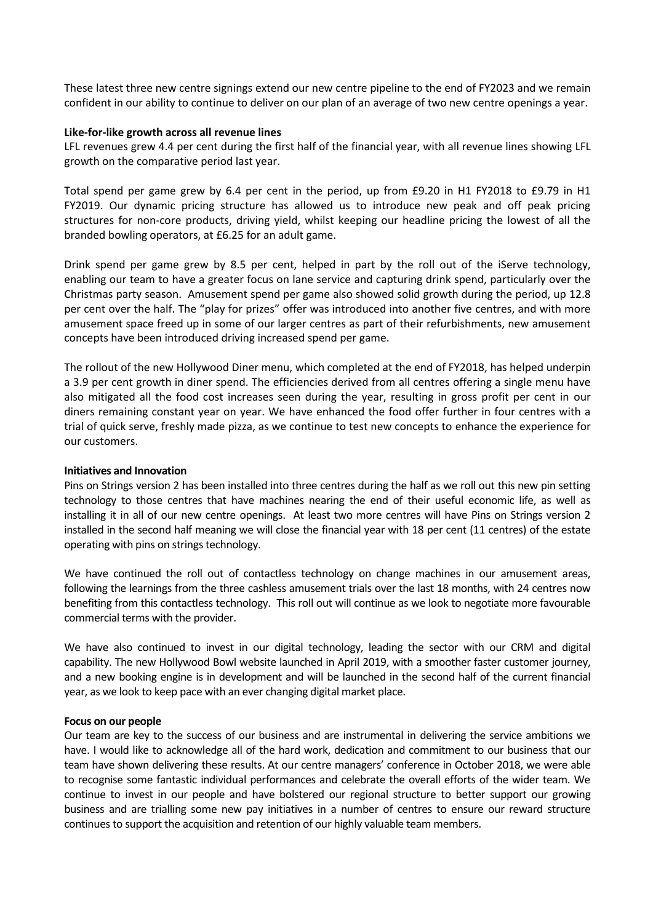These latest three new centre signings extend our new centre pipeline to the end of FY2023 and we remain confident in our ability to continue to deliver on our plan of an average of two new centre openings a year.

## **Like-for-like growth across all revenue lines**

LFL revenues grew 4.4 per cent during the first half of the financial year, with all revenue lines showing LFL growth on the comparative period last year.

Total spend per game grew by 6.4 per cent in the period, up from £9.20 in H1 FY2018 to £9.79 in H1 FY2019. Our dynamic pricing structure has allowed us to introduce new peak and off peak pricing structures for non-core products, driving yield, whilst keeping our headline pricing the lowest of all the branded bowling operators, at £6.25 for an adult game.

Drink spend per game grew by 8.5 per cent, helped in part by the roll out of the iServe technology, enabling our team to have a greater focus on lane service and capturing drink spend, particularly over the Christmas party season. Amusement spend per game also showed solid growth during the period, up 12.8 per cent over the half. The "play for prizes" offer was introduced into another five centres, and with more amusement space freed up in some of our larger centres as part of their refurbishments, new amusement concepts have been introduced driving increased spend per game.

The rollout of the new Hollywood Diner menu, which completed at the end of FY2018, has helped underpin a 3.9 per cent growth in diner spend. The efficiencies derived from all centres offering a single menu have also mitigated all the food cost increases seen during the year, resulting in gross profit per cent in our diners remaining constant year on year. We have enhanced the food offer further in four centres with a trial of quick serve, freshly made pizza, as we continue to test new concepts to enhance the experience for our customers.

## **Initiatives and Innovation**

Pins on Strings version 2 has been installed into three centres during the half as we roll out this new pin setting technology to those centres that have machines nearing the end of their useful economic life, as well as installing it in all of our new centre openings. At least two more centres will have Pins on Strings version 2 installed in the second half meaning we will close the financial year with 18 per cent (11 centres) of the estate operating with pins on strings technology.

We have continued the roll out of contactless technology on change machines in our amusement areas, following the learnings from the three cashless amusement trials over the last 18 months, with 24 centres now benefiting from this contactless technology. This roll out will continue as we look to negotiate more favourable commercial terms with the provider.

We have also continued to invest in our digital technology, leading the sector with our CRM and digital capability. The new Hollywood Bowl website launched in April 2019, with a smoother faster customer journey, and a new booking engine is in development and will be launched in the second half of the current financial year, as we look to keep pace with an ever changing digital market place.

## **Focus on our people**

Our team are key to the success of our business and are instrumental in delivering the service ambitions we have. I would like to acknowledge all of the hard work, dedication and commitment to our business that our team have shown delivering these results. At our centre managers' conference in October 2018, we were able to recognise some fantastic individual performances and celebrate the overall efforts of the wider team. We continue to invest in our people and have bolstered our regional structure to better support our growing business and are trialling some new pay initiatives in a number of centres to ensure our reward structure continues to support the acquisition and retention of our highly valuable team members.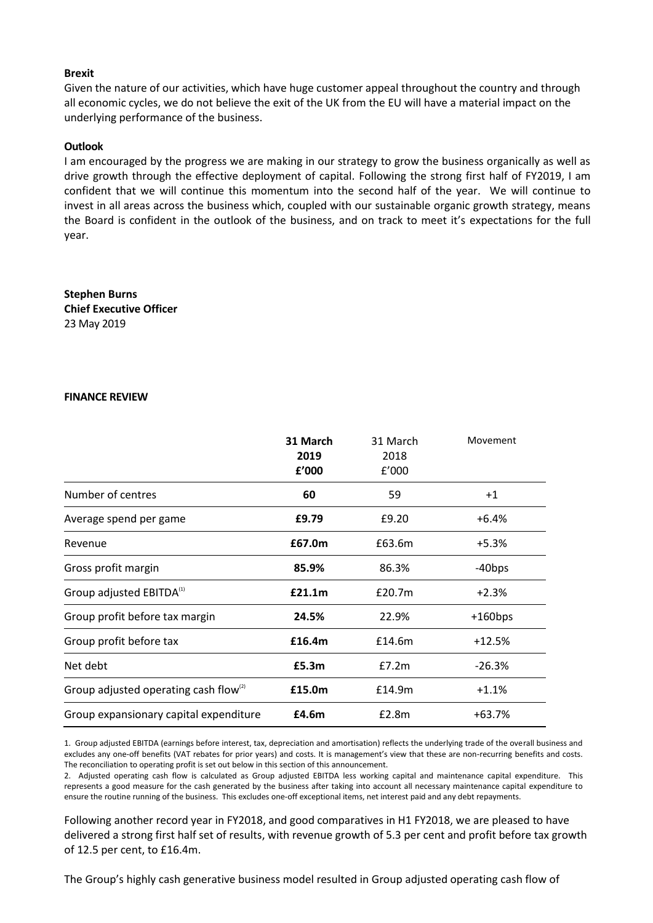## **Brexit**

Given the nature of our activities, which have huge customer appeal throughout the country and through all economic cycles, we do not believe the exit of the UK from the EU will have a material impact on the underlying performance of the business.

## **Outlook**

I am encouraged by the progress we are making in our strategy to grow the business organically as well as drive growth through the effective deployment of capital. Following the strong first half of FY2019, I am confident that we will continue this momentum into the second half of the year. We will continue to invest in all areas across the business which, coupled with our sustainable organic growth strategy, means the Board is confident in the outlook of the business, and on track to meet it's expectations for the full year.

**Stephen Burns Chief Executive Officer** 23 May 2019

### **FINANCE REVIEW**

|                                             | 31 March<br>2019<br>f'000 | 31 March<br>2018<br>f'000 | Movement           |
|---------------------------------------------|---------------------------|---------------------------|--------------------|
| Number of centres                           | 60                        | 59                        | $+1$               |
| Average spend per game                      | £9.79                     | £9.20                     | $+6.4%$            |
| Revenue                                     | £67.0m                    | £63.6m                    | +5.3%              |
| Gross profit margin                         | 85.9%                     | 86.3%                     | -40 <sub>bps</sub> |
| Group adjusted EBITDA <sup>(1)</sup>        | £21.1m                    | £20.7m                    | $+2.3%$            |
| Group profit before tax margin              | 24.5%                     | 22.9%                     | $+160$ bps         |
| Group profit before tax                     | £16.4m                    | £14.6m                    | +12.5%             |
| Net debt                                    | £5.3m                     | E7.2m                     | $-26.3%$           |
| Group adjusted operating cash flow $^{(2)}$ | £15.0m                    | £14.9m                    | $+1.1%$            |
| Group expansionary capital expenditure      | £4.6m                     | £2.8m                     | $+63.7%$           |

1. Group adjusted EBITDA (earnings before interest, tax, depreciation and amortisation) reflects the underlying trade of the overall business and excludes any one-off benefits (VAT rebates for prior years) and costs. It is management's view that these are non-recurring benefits and costs. The reconciliation to operating profit is set out below in this section of this announcement.

2. Adjusted operating cash flow is calculated as Group adjusted EBITDA less working capital and maintenance capital expenditure. This represents a good measure for the cash generated by the business after taking into account all necessary maintenance capital expenditure to ensure the routine running of the business. This excludes one-off exceptional items, net interest paid and any debt repayments.

Following another record year in FY2018, and good comparatives in H1 FY2018, we are pleased to have delivered a strong first half set of results, with revenue growth of 5.3 per cent and profit before tax growth of 12.5 per cent, to £16.4m.

The Group's highly cash generative business model resulted in Group adjusted operating cash flow of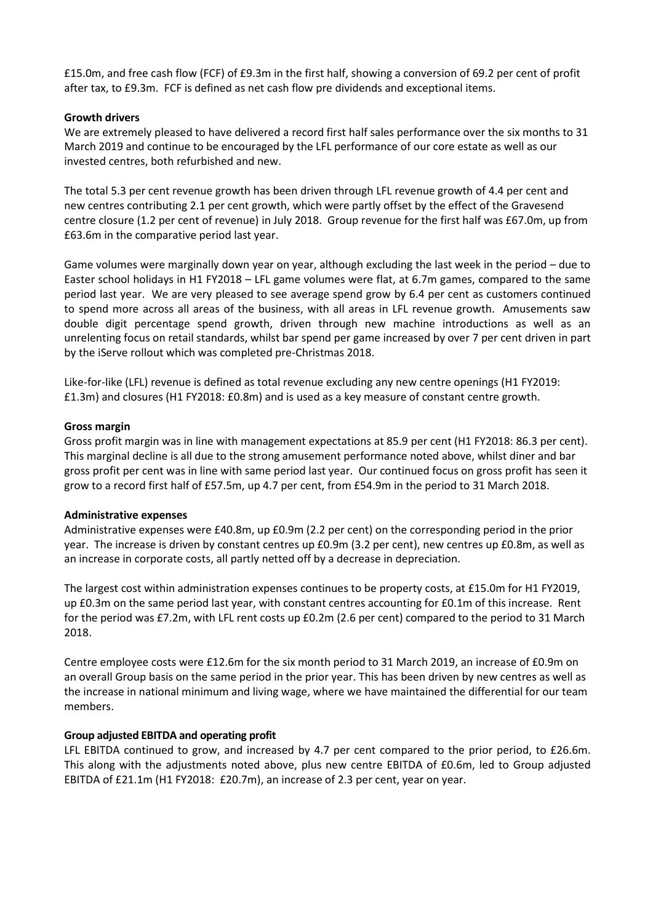£15.0m, and free cash flow (FCF) of £9.3m in the first half, showing a conversion of 69.2 per cent of profit after tax, to £9.3m. FCF is defined as net cash flow pre dividends and exceptional items.

## **Growth drivers**

We are extremely pleased to have delivered a record first half sales performance over the six months to 31 March 2019 and continue to be encouraged by the LFL performance of our core estate as well as our invested centres, both refurbished and new.

The total 5.3 per cent revenue growth has been driven through LFL revenue growth of 4.4 per cent and new centres contributing 2.1 per cent growth, which were partly offset by the effect of the Gravesend centre closure (1.2 per cent of revenue) in July 2018. Group revenue for the first half was £67.0m, up from £63.6m in the comparative period last year.

Game volumes were marginally down year on year, although excluding the last week in the period – due to Easter school holidays in H1 FY2018 – LFL game volumes were flat, at 6.7m games, compared to the same period last year. We are very pleased to see average spend grow by 6.4 per cent as customers continued to spend more across all areas of the business, with all areas in LFL revenue growth. Amusements saw double digit percentage spend growth, driven through new machine introductions as well as an unrelenting focus on retail standards, whilst bar spend per game increased by over 7 per cent driven in part by the iServe rollout which was completed pre-Christmas 2018.

Like-for-like (LFL) revenue is defined as total revenue excluding any new centre openings (H1 FY2019: £1.3m) and closures (H1 FY2018: £0.8m) and is used as a key measure of constant centre growth.

## **Gross margin**

Gross profit margin was in line with management expectations at 85.9 per cent (H1 FY2018: 86.3 per cent). This marginal decline is all due to the strong amusement performance noted above, whilst diner and bar gross profit per cent was in line with same period last year. Our continued focus on gross profit has seen it grow to a record first half of £57.5m, up 4.7 per cent, from £54.9m in the period to 31 March 2018.

## **Administrative expenses**

Administrative expenses were £40.8m, up £0.9m (2.2 per cent) on the corresponding period in the prior year. The increase is driven by constant centres up £0.9m (3.2 per cent), new centres up £0.8m, as well as an increase in corporate costs, all partly netted off by a decrease in depreciation.

The largest cost within administration expenses continues to be property costs, at £15.0m for H1 FY2019, up £0.3m on the same period last year, with constant centres accounting for £0.1m of this increase. Rent for the period was £7.2m, with LFL rent costs up £0.2m (2.6 per cent) compared to the period to 31 March 2018.

Centre employee costs were £12.6m for the six month period to 31 March 2019, an increase of £0.9m on an overall Group basis on the same period in the prior year. This has been driven by new centres as well as the increase in national minimum and living wage, where we have maintained the differential for our team members.

## **Group adjusted EBITDA and operating profit**

LFL EBITDA continued to grow, and increased by 4.7 per cent compared to the prior period, to £26.6m. This along with the adjustments noted above, plus new centre EBITDA of £0.6m, led to Group adjusted EBITDA of £21.1m (H1 FY2018: £20.7m), an increase of 2.3 per cent, year on year.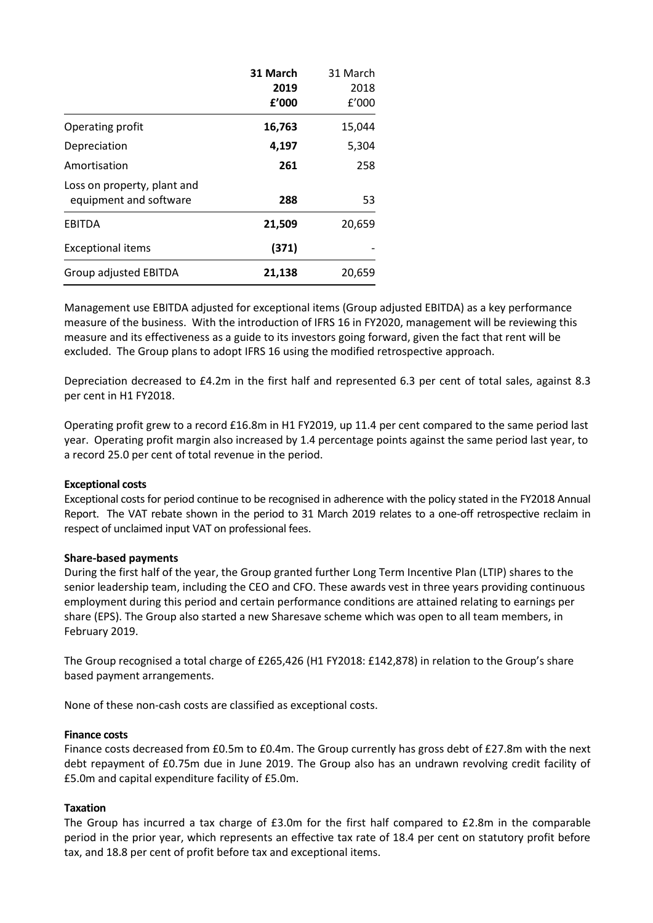|                                                       | 31 March<br>2019<br>f'000 | 31 March<br>2018<br>f'000 |
|-------------------------------------------------------|---------------------------|---------------------------|
| Operating profit                                      | 16,763                    | 15,044                    |
| Depreciation                                          | 4,197                     | 5,304                     |
| Amortisation                                          | 261                       | 258                       |
| Loss on property, plant and<br>equipment and software | 288                       | 53                        |
| <b>EBITDA</b>                                         | 21,509                    | 20,659                    |
| <b>Exceptional items</b>                              | (371)                     |                           |
| Group adjusted EBITDA                                 | 21,138                    | 20,659                    |

Management use EBITDA adjusted for exceptional items (Group adjusted EBITDA) as a key performance measure of the business. With the introduction of IFRS 16 in FY2020, management will be reviewing this measure and its effectiveness as a guide to its investors going forward, given the fact that rent will be excluded. The Group plans to adopt IFRS 16 using the modified retrospective approach.

Depreciation decreased to £4.2m in the first half and represented 6.3 per cent of total sales, against 8.3 per cent in H1 FY2018.

Operating profit grew to a record £16.8m in H1 FY2019, up 11.4 per cent compared to the same period last year. Operating profit margin also increased by 1.4 percentage points against the same period last year, to a record 25.0 per cent of total revenue in the period.

### **Exceptional costs**

Exceptional costs for period continue to be recognised in adherence with the policy stated in the FY2018 Annual Report. The VAT rebate shown in the period to 31 March 2019 relates to a one-off retrospective reclaim in respect of unclaimed input VAT on professional fees.

### **Share-based payments**

During the first half of the year, the Group granted further Long Term Incentive Plan (LTIP) shares to the senior leadership team, including the CEO and CFO. These awards vest in three years providing continuous employment during this period and certain performance conditions are attained relating to earnings per share (EPS). The Group also started a new Sharesave scheme which was open to all team members, in February 2019.

The Group recognised a total charge of £265,426 (H1 FY2018: £142,878) in relation to the Group's share based payment arrangements.

None of these non-cash costs are classified as exceptional costs.

### **Finance costs**

Finance costs decreased from £0.5m to £0.4m. The Group currently has gross debt of £27.8m with the next debt repayment of £0.75m due in June 2019. The Group also has an undrawn revolving credit facility of £5.0m and capital expenditure facility of £5.0m.

### **Taxation**

The Group has incurred a tax charge of £3.0m for the first half compared to £2.8m in the comparable period in the prior year, which represents an effective tax rate of 18.4 per cent on statutory profit before tax, and 18.8 per cent of profit before tax and exceptional items.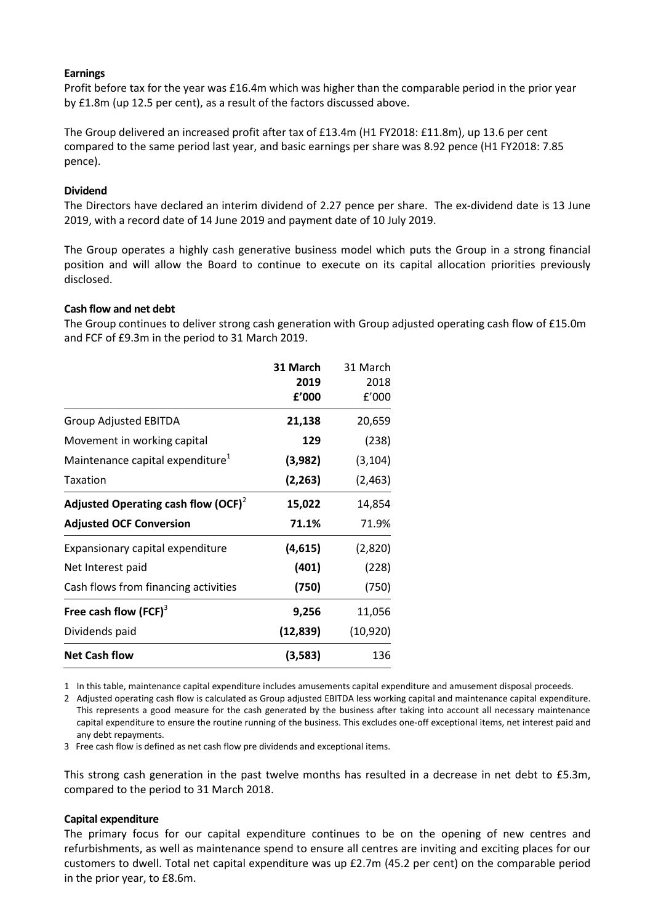## **Earnings**

Profit before tax for the year was £16.4m which was higher than the comparable period in the prior year by £1.8m (up 12.5 per cent), as a result of the factors discussed above.

The Group delivered an increased profit after tax of £13.4m (H1 FY2018: £11.8m), up 13.6 per cent compared to the same period last year, and basic earnings per share was 8.92 pence (H1 FY2018: 7.85 pence).

## **Dividend**

The Directors have declared an interim dividend of 2.27 pence per share. The ex-dividend date is 13 June 2019, with a record date of 14 June 2019 and payment date of 10 July 2019.

The Group operates a highly cash generative business model which puts the Group in a strong financial position and will allow the Board to continue to execute on its capital allocation priorities previously disclosed.

### **Cash flow and net debt**

The Group continues to deliver strong cash generation with Group adjusted operating cash flow of £15.0m and FCF of £9.3m in the period to 31 March 2019.

|                                              | 31 March  | 31 March  |
|----------------------------------------------|-----------|-----------|
|                                              | 2019      | 2018      |
|                                              | f'000     | f'000     |
| <b>Group Adjusted EBITDA</b>                 | 21,138    | 20,659    |
| Movement in working capital                  | 129       | (238)     |
| Maintenance capital expenditure <sup>1</sup> | (3,982)   | (3, 104)  |
| Taxation                                     | (2, 263)  | (2, 463)  |
| Adjusted Operating cash flow $(OCF)^2$       | 15,022    | 14,854    |
| <b>Adjusted OCF Conversion</b>               | 71.1%     | 71.9%     |
| Expansionary capital expenditure             | (4,615)   | (2,820)   |
| Net Interest paid                            | (401)     | (228)     |
| Cash flows from financing activities         | (750)     | (750)     |
| Free cash flow $(FCF)^3$                     | 9,256     | 11,056    |
| Dividends paid                               | (12, 839) | (10, 920) |
| <b>Net Cash flow</b>                         | (3,583)   | 136       |

1 In this table, maintenance capital expenditure includes amusements capital expenditure and amusement disposal proceeds.

2 Adjusted operating cash flow is calculated as Group adjusted EBITDA less working capital and maintenance capital expenditure. This represents a good measure for the cash generated by the business after taking into account all necessary maintenance capital expenditure to ensure the routine running of the business. This excludes one-off exceptional items, net interest paid and any debt repayments.

3 Free cash flow is defined as net cash flow pre dividends and exceptional items.

This strong cash generation in the past twelve months has resulted in a decrease in net debt to £5.3m, compared to the period to 31 March 2018.

### **Capital expenditure**

The primary focus for our capital expenditure continues to be on the opening of new centres and refurbishments, as well as maintenance spend to ensure all centres are inviting and exciting places for our customers to dwell. Total net capital expenditure was up £2.7m (45.2 per cent) on the comparable period in the prior year, to £8.6m.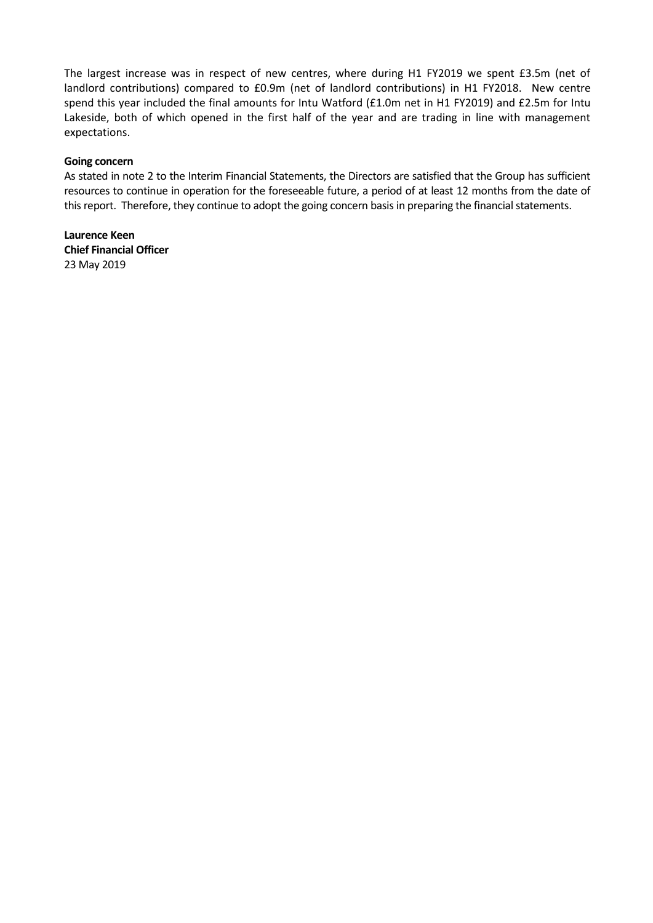The largest increase was in respect of new centres, where during H1 FY2019 we spent £3.5m (net of landlord contributions) compared to £0.9m (net of landlord contributions) in H1 FY2018. New centre spend this year included the final amounts for Intu Watford (£1.0m net in H1 FY2019) and £2.5m for Intu Lakeside, both of which opened in the first half of the year and are trading in line with management expectations.

## **Going concern**

As stated in note 2 to the Interim Financial Statements, the Directors are satisfied that the Group has sufficient resources to continue in operation for the foreseeable future, a period of at least 12 months from the date of this report. Therefore, they continue to adopt the going concern basis in preparing the financial statements.

**Laurence Keen Chief Financial Officer** 23 May 2019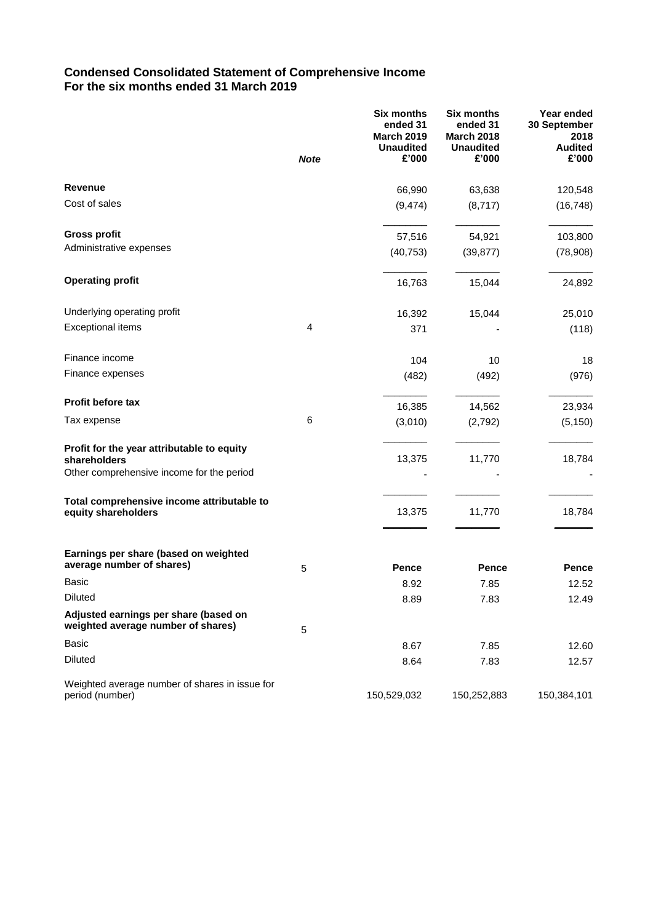## **Condensed Consolidated Statement of Comprehensive Income For the six months ended 31 March 2019**

|                                                                                                         | <b>Note</b> | <b>Six months</b><br>ended 31<br><b>March 2019</b><br><b>Unaudited</b><br>£'000 | <b>Six months</b><br>ended 31<br><b>March 2018</b><br><b>Unaudited</b><br>£'000 | Year ended<br>30 September<br>2018<br><b>Audited</b><br>£'000 |
|---------------------------------------------------------------------------------------------------------|-------------|---------------------------------------------------------------------------------|---------------------------------------------------------------------------------|---------------------------------------------------------------|
| Revenue                                                                                                 |             | 66,990                                                                          | 63,638                                                                          | 120,548                                                       |
| Cost of sales                                                                                           |             | (9, 474)                                                                        | (8,717)                                                                         | (16, 748)                                                     |
| <b>Gross profit</b>                                                                                     |             | 57,516                                                                          | 54,921                                                                          | 103,800                                                       |
| Administrative expenses                                                                                 |             | (40, 753)                                                                       | (39, 877)                                                                       | (78,908)                                                      |
| <b>Operating profit</b>                                                                                 |             | 16,763                                                                          | 15,044                                                                          | 24,892                                                        |
| Underlying operating profit                                                                             |             | 16,392                                                                          | 15,044                                                                          | 25,010                                                        |
| <b>Exceptional items</b>                                                                                | 4           | 371                                                                             |                                                                                 | (118)                                                         |
| Finance income                                                                                          |             | 104                                                                             | 10                                                                              | 18                                                            |
| Finance expenses                                                                                        |             | (482)                                                                           | (492)                                                                           | (976)                                                         |
| <b>Profit before tax</b>                                                                                |             | 16,385                                                                          | 14,562                                                                          | 23,934                                                        |
| Tax expense                                                                                             | 6           | (3,010)                                                                         | (2,792)                                                                         | (5, 150)                                                      |
| Profit for the year attributable to equity<br>shareholders<br>Other comprehensive income for the period |             | 13,375                                                                          | 11,770                                                                          | 18,784                                                        |
| Total comprehensive income attributable to<br>equity shareholders                                       |             | 13,375                                                                          | 11,770                                                                          | 18,784                                                        |
| Earnings per share (based on weighted<br>average number of shares)                                      | 5           | Pence                                                                           | Pence                                                                           | Pence                                                         |
| <b>Basic</b>                                                                                            |             | 8.92                                                                            | 7.85                                                                            | 12.52                                                         |
| Diluted                                                                                                 |             | 8.89                                                                            | 7.83                                                                            | 12.49                                                         |
| Adjusted earnings per share (based on<br>weighted average number of shares)                             | 5           |                                                                                 |                                                                                 |                                                               |
| Basic                                                                                                   |             | 8.67                                                                            | 7.85                                                                            | 12.60                                                         |
| <b>Diluted</b>                                                                                          |             | 8.64                                                                            | 7.83                                                                            | 12.57                                                         |
| Weighted average number of shares in issue for<br>period (number)                                       |             | 150,529,032                                                                     | 150,252,883                                                                     | 150,384,101                                                   |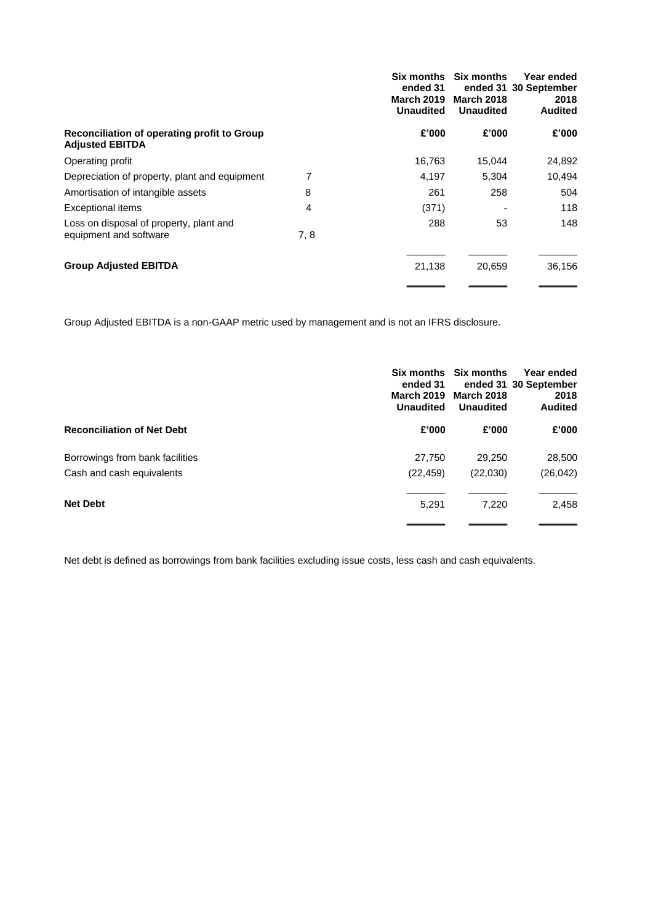|                                                                       |     | Six months<br>ended 31<br><b>March 2019</b><br><b>Unaudited</b> | <b>Six months</b><br><b>March 2018</b><br><b>Unaudited</b> | Year ended<br>ended 31 30 September<br>2018<br><b>Audited</b> |
|-----------------------------------------------------------------------|-----|-----------------------------------------------------------------|------------------------------------------------------------|---------------------------------------------------------------|
| Reconciliation of operating profit to Group<br><b>Adjusted EBITDA</b> |     | £'000                                                           | £'000                                                      | £'000                                                         |
| Operating profit                                                      |     | 16,763                                                          | 15,044                                                     | 24,892                                                        |
| Depreciation of property, plant and equipment                         | 7   | 4.197                                                           | 5.304                                                      | 10,494                                                        |
| Amortisation of intangible assets                                     | 8   | 261                                                             | 258                                                        | 504                                                           |
| <b>Exceptional items</b>                                              | 4   | (371)                                                           |                                                            | 118                                                           |
| Loss on disposal of property, plant and<br>equipment and software     | 7.8 | 288                                                             | 53                                                         | 148                                                           |
| <b>Group Adjusted EBITDA</b>                                          |     | 21,138                                                          | 20,659                                                     | 36,156                                                        |

Group Adjusted EBITDA is a non-GAAP metric used by management and is not an IFRS disclosure.

|                                   | ended 31<br><b>March 2019</b><br><b>Unaudited</b> | Six months Six months<br><b>March 2018</b><br><b>Unaudited</b> | Year ended<br>ended 31 30 September<br>2018<br><b>Audited</b> |
|-----------------------------------|---------------------------------------------------|----------------------------------------------------------------|---------------------------------------------------------------|
| <b>Reconciliation of Net Debt</b> | £'000                                             | £'000                                                          | £'000                                                         |
| Borrowings from bank facilities   | 27,750                                            | 29,250                                                         | 28,500                                                        |
| Cash and cash equivalents         | (22, 459)                                         | (22,030)                                                       | (26, 042)                                                     |
| <b>Net Debt</b>                   | 5,291                                             | 7,220                                                          | 2,458                                                         |

Net debt is defined as borrowings from bank facilities excluding issue costs, less cash and cash equivalents.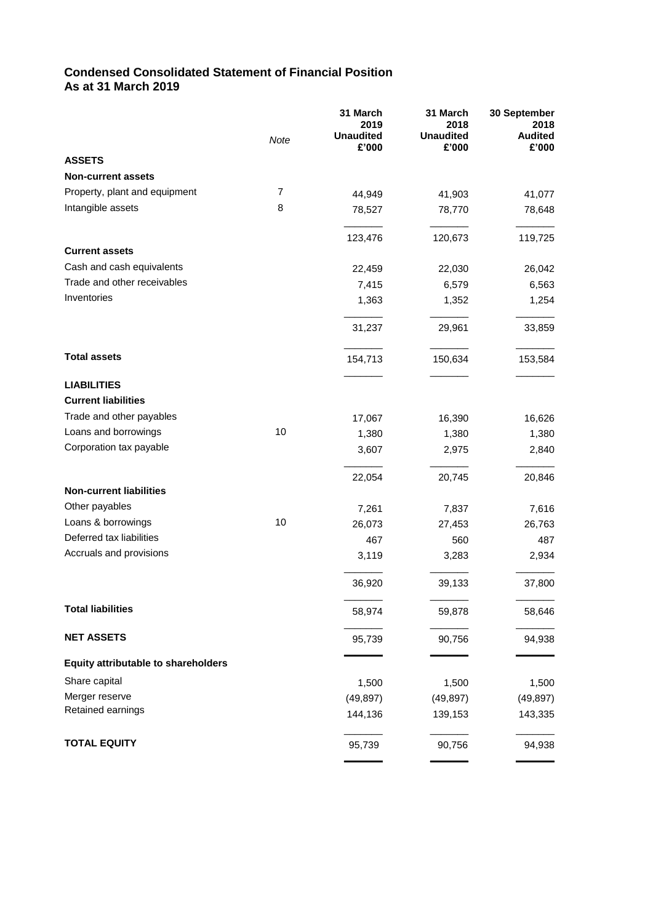## **Condensed Consolidated Statement of Financial Position As at 31 March 2019**

|                                            | Note           | 31 March<br>2019<br><b>Unaudited</b><br>£'000 | 31 March<br>2018<br><b>Unaudited</b><br>£'000 | 30 September<br>2018<br><b>Audited</b><br>£'000 |
|--------------------------------------------|----------------|-----------------------------------------------|-----------------------------------------------|-------------------------------------------------|
| <b>ASSETS</b>                              |                |                                               |                                               |                                                 |
| <b>Non-current assets</b>                  |                |                                               |                                               |                                                 |
| Property, plant and equipment              | $\overline{7}$ | 44,949                                        | 41,903                                        | 41,077                                          |
| Intangible assets                          | 8              | 78,527                                        | 78,770                                        | 78,648                                          |
|                                            |                | 123,476                                       | 120,673                                       | 119,725                                         |
| <b>Current assets</b>                      |                |                                               |                                               |                                                 |
| Cash and cash equivalents                  |                | 22,459                                        | 22,030                                        | 26,042                                          |
| Trade and other receivables                |                | 7,415                                         | 6,579                                         | 6,563                                           |
| Inventories                                |                | 1,363                                         | 1,352                                         | 1,254                                           |
|                                            |                | 31,237                                        | 29,961                                        | 33,859                                          |
| <b>Total assets</b>                        |                | 154,713                                       | 150,634                                       | 153,584                                         |
| <b>LIABILITIES</b>                         |                |                                               |                                               |                                                 |
| <b>Current liabilities</b>                 |                |                                               |                                               |                                                 |
| Trade and other payables                   |                | 17,067                                        | 16,390                                        | 16,626                                          |
| Loans and borrowings                       | 10             | 1,380                                         | 1,380                                         | 1,380                                           |
| Corporation tax payable                    |                | 3,607                                         | 2,975                                         | 2,840                                           |
|                                            |                | 22,054                                        | 20,745                                        | 20,846                                          |
| <b>Non-current liabilities</b>             |                |                                               |                                               |                                                 |
| Other payables                             |                | 7,261                                         | 7,837                                         | 7,616                                           |
| Loans & borrowings                         | 10             | 26,073                                        | 27,453                                        | 26,763                                          |
| Deferred tax liabilities                   |                | 467                                           | 560                                           | 487                                             |
| Accruals and provisions                    |                | 3,119                                         | 3,283                                         | 2,934                                           |
|                                            |                | 36,920                                        | 39,133                                        | 37,800                                          |
| <b>Total liabilities</b>                   |                | 58,974                                        | 59,878                                        | 58,646                                          |
| <b>NET ASSETS</b>                          |                | 95,739                                        | 90,756                                        | 94,938                                          |
| <b>Equity attributable to shareholders</b> |                |                                               |                                               |                                                 |
| Share capital                              |                | 1,500                                         | 1,500                                         | 1,500                                           |
| Merger reserve                             |                | (49, 897)                                     | (49, 897)                                     | (49, 897)                                       |
| Retained earnings                          |                | 144,136                                       | 139,153                                       | 143,335                                         |
| <b>TOTAL EQUITY</b>                        |                | 95,739                                        | 90,756                                        | 94,938                                          |
|                                            |                |                                               |                                               |                                                 |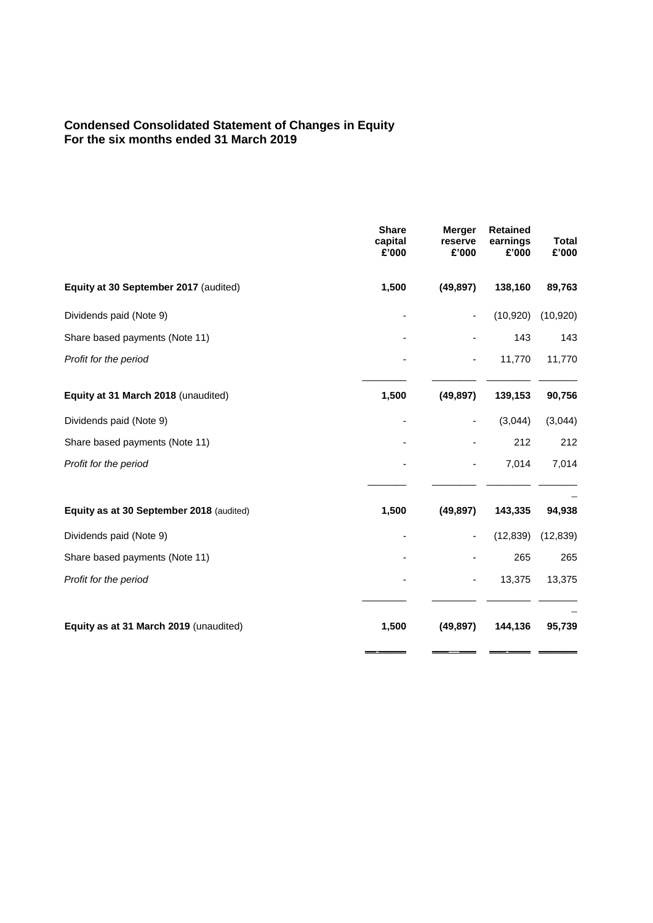## **Condensed Consolidated Statement of Changes in Equity For the six months ended 31 March 2019**

|                                          | <b>Share</b><br>capital<br>£'000 | <b>Merger</b><br>reserve<br>£'000 | <b>Retained</b><br>earnings<br>£'000 | <b>Total</b><br>£'000 |
|------------------------------------------|----------------------------------|-----------------------------------|--------------------------------------|-----------------------|
| Equity at 30 September 2017 (audited)    | 1,500                            | (49, 897)                         | 138,160                              | 89,763                |
| Dividends paid (Note 9)                  |                                  | ٠                                 | (10, 920)                            | (10, 920)             |
| Share based payments (Note 11)           |                                  |                                   | 143                                  | 143                   |
| Profit for the period                    |                                  |                                   | 11,770                               | 11,770                |
| Equity at 31 March 2018 (unaudited)      | 1,500                            | (49, 897)                         | 139,153                              | 90,756                |
| Dividends paid (Note 9)                  |                                  | $\overline{\phantom{a}}$          | (3,044)                              | (3,044)               |
| Share based payments (Note 11)           |                                  |                                   | 212                                  | 212                   |
| Profit for the period                    |                                  | -                                 | 7,014                                | 7,014                 |
| Equity as at 30 September 2018 (audited) | 1,500                            | (49, 897)                         | 143,335                              | 94,938                |
| Dividends paid (Note 9)                  |                                  | -                                 | (12, 839)                            | (12, 839)             |
| Share based payments (Note 11)           |                                  |                                   | 265                                  | 265                   |
| Profit for the period                    |                                  | -                                 | 13,375                               | 13,375                |
| Equity as at 31 March 2019 (unaudited)   | 1,500                            | (49, 897)                         | 144,136                              | 95,739                |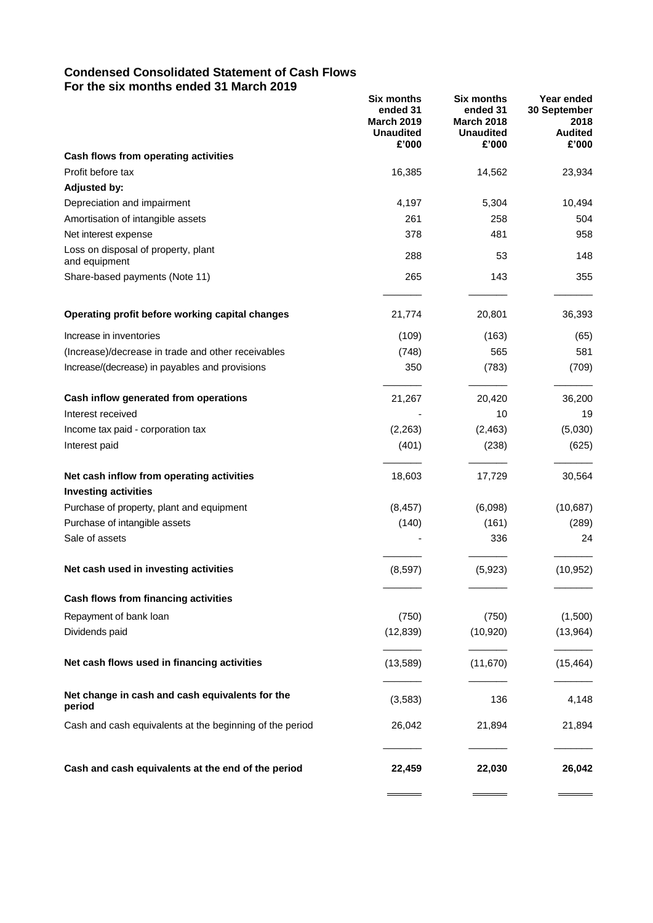## **Condensed Consolidated Statement of Cash Flows For the six months ended 31 March 2019**

|                                                           | <b>Six months</b><br>ended 31<br><b>March 2019</b><br><b>Unaudited</b><br>£'000 | <b>Six months</b><br>ended 31<br><b>March 2018</b><br><b>Unaudited</b><br>£'000 | Year ended<br>30 September<br>2018<br><b>Audited</b><br>£'000 |
|-----------------------------------------------------------|---------------------------------------------------------------------------------|---------------------------------------------------------------------------------|---------------------------------------------------------------|
| Cash flows from operating activities                      |                                                                                 |                                                                                 |                                                               |
| Profit before tax                                         | 16,385                                                                          | 14,562                                                                          | 23,934                                                        |
| <b>Adjusted by:</b>                                       |                                                                                 |                                                                                 |                                                               |
| Depreciation and impairment                               | 4,197                                                                           | 5,304                                                                           | 10,494                                                        |
| Amortisation of intangible assets                         | 261                                                                             | 258                                                                             | 504                                                           |
| Net interest expense                                      | 378                                                                             | 481                                                                             | 958                                                           |
| Loss on disposal of property, plant<br>and equipment      | 288                                                                             | 53                                                                              | 148                                                           |
| Share-based payments (Note 11)                            | 265                                                                             | 143                                                                             | 355                                                           |
| Operating profit before working capital changes           | 21,774                                                                          | 20,801                                                                          | 36,393                                                        |
| Increase in inventories                                   | (109)                                                                           | (163)                                                                           | (65)                                                          |
| (Increase)/decrease in trade and other receivables        | (748)                                                                           | 565                                                                             | 581                                                           |
| Increase/(decrease) in payables and provisions            | 350                                                                             | (783)                                                                           | (709)                                                         |
| Cash inflow generated from operations                     | 21,267                                                                          | 20,420                                                                          | 36,200                                                        |
| Interest received                                         |                                                                                 | 10                                                                              | 19                                                            |
| Income tax paid - corporation tax                         | (2,263)                                                                         | (2, 463)                                                                        | (5,030)                                                       |
| Interest paid                                             | (401)                                                                           | (238)                                                                           | (625)                                                         |
| Net cash inflow from operating activities                 | 18,603                                                                          | 17,729                                                                          | 30,564                                                        |
| <b>Investing activities</b>                               |                                                                                 |                                                                                 |                                                               |
| Purchase of property, plant and equipment                 | (8, 457)                                                                        | (6,098)                                                                         | (10,687)                                                      |
| Purchase of intangible assets                             | (140)                                                                           | (161)                                                                           | (289)                                                         |
| Sale of assets                                            |                                                                                 | 336                                                                             | 24                                                            |
| Net cash used in investing activities                     | (8,597)                                                                         | (5,923)                                                                         | (10, 952)                                                     |
| Cash flows from financing activities                      |                                                                                 |                                                                                 |                                                               |
| Repayment of bank loan                                    | (750)                                                                           | (750)                                                                           | (1,500)                                                       |
| Dividends paid                                            | (12, 839)                                                                       | (10, 920)                                                                       | (13,964)                                                      |
| Net cash flows used in financing activities               | (13,589)                                                                        | (11, 670)                                                                       | (15, 464)                                                     |
| Net change in cash and cash equivalents for the<br>period | (3, 583)                                                                        | 136                                                                             | 4,148                                                         |
| Cash and cash equivalents at the beginning of the period  | 26,042                                                                          | 21,894                                                                          | 21,894                                                        |
| Cash and cash equivalents at the end of the period        | 22,459                                                                          | 22,030                                                                          | 26,042                                                        |
|                                                           |                                                                                 |                                                                                 |                                                               |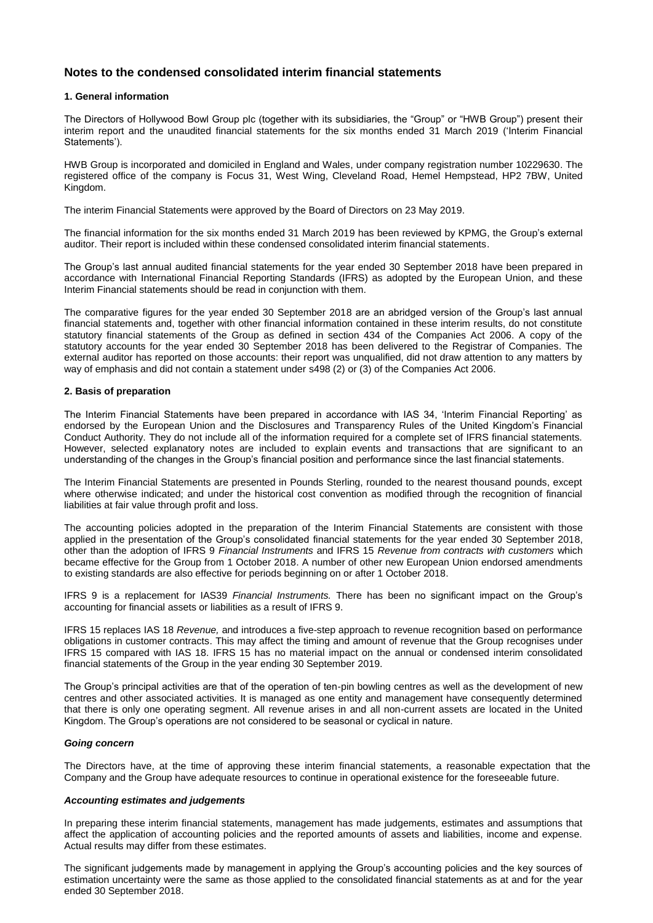## **Notes to the condensed consolidated interim financial statements**

### **1. General information**

The Directors of Hollywood Bowl Group plc (together with its subsidiaries, the "Group" or "HWB Group") present their interim report and the unaudited financial statements for the six months ended 31 March 2019 ('Interim Financial Statements').

HWB Group is incorporated and domiciled in England and Wales, under company registration number 10229630. The registered office of the company is Focus 31, West Wing, Cleveland Road, Hemel Hempstead, HP2 7BW, United Kingdom.

The interim Financial Statements were approved by the Board of Directors on 23 May 2019.

The financial information for the six months ended 31 March 2019 has been reviewed by KPMG, the Group's external auditor. Their report is included within these condensed consolidated interim financial statements.

The Group's last annual audited financial statements for the year ended 30 September 2018 have been prepared in accordance with International Financial Reporting Standards (IFRS) as adopted by the European Union, and these Interim Financial statements should be read in conjunction with them.

The comparative figures for the year ended 30 September 2018 are an abridged version of the Group's last annual financial statements and, together with other financial information contained in these interim results, do not constitute statutory financial statements of the Group as defined in section 434 of the Companies Act 2006. A copy of the statutory accounts for the year ended 30 September 2018 has been delivered to the Registrar of Companies. The external auditor has reported on those accounts: their report was unqualified, did not draw attention to any matters by way of emphasis and did not contain a statement under s498 (2) or (3) of the Companies Act 2006.

### **2. Basis of preparation**

The Interim Financial Statements have been prepared in accordance with IAS 34, 'Interim Financial Reporting' as endorsed by the European Union and the Disclosures and Transparency Rules of the United Kingdom's Financial Conduct Authority. They do not include all of the information required for a complete set of IFRS financial statements. However, selected explanatory notes are included to explain events and transactions that are significant to an understanding of the changes in the Group's financial position and performance since the last financial statements.

The Interim Financial Statements are presented in Pounds Sterling, rounded to the nearest thousand pounds, except where otherwise indicated; and under the historical cost convention as modified through the recognition of financial liabilities at fair value through profit and loss.

The accounting policies adopted in the preparation of the Interim Financial Statements are consistent with those applied in the presentation of the Group's consolidated financial statements for the year ended 30 September 2018, other than the adoption of IFRS 9 *Financial Instruments* and IFRS 15 *Revenue from contracts with customers* which became effective for the Group from 1 October 2018. A number of other new European Union endorsed amendments to existing standards are also effective for periods beginning on or after 1 October 2018.

IFRS 9 is a replacement for IAS39 *Financial Instruments.* There has been no significant impact on the Group's accounting for financial assets or liabilities as a result of IFRS 9.

IFRS 15 replaces IAS 18 *Revenue,* and introduces a five-step approach to revenue recognition based on performance obligations in customer contracts. This may affect the timing and amount of revenue that the Group recognises under IFRS 15 compared with IAS 18. IFRS 15 has no material impact on the annual or condensed interim consolidated financial statements of the Group in the year ending 30 September 2019.

The Group's principal activities are that of the operation of ten-pin bowling centres as well as the development of new centres and other associated activities. It is managed as one entity and management have consequently determined that there is only one operating segment. All revenue arises in and all non-current assets are located in the United Kingdom. The Group's operations are not considered to be seasonal or cyclical in nature.

### *Going concern*

The Directors have, at the time of approving these interim financial statements, a reasonable expectation that the Company and the Group have adequate resources to continue in operational existence for the foreseeable future.

### *Accounting estimates and judgements*

In preparing these interim financial statements, management has made judgements, estimates and assumptions that affect the application of accounting policies and the reported amounts of assets and liabilities, income and expense. Actual results may differ from these estimates.

The significant judgements made by management in applying the Group's accounting policies and the key sources of estimation uncertainty were the same as those applied to the consolidated financial statements as at and for the year ended 30 September 2018.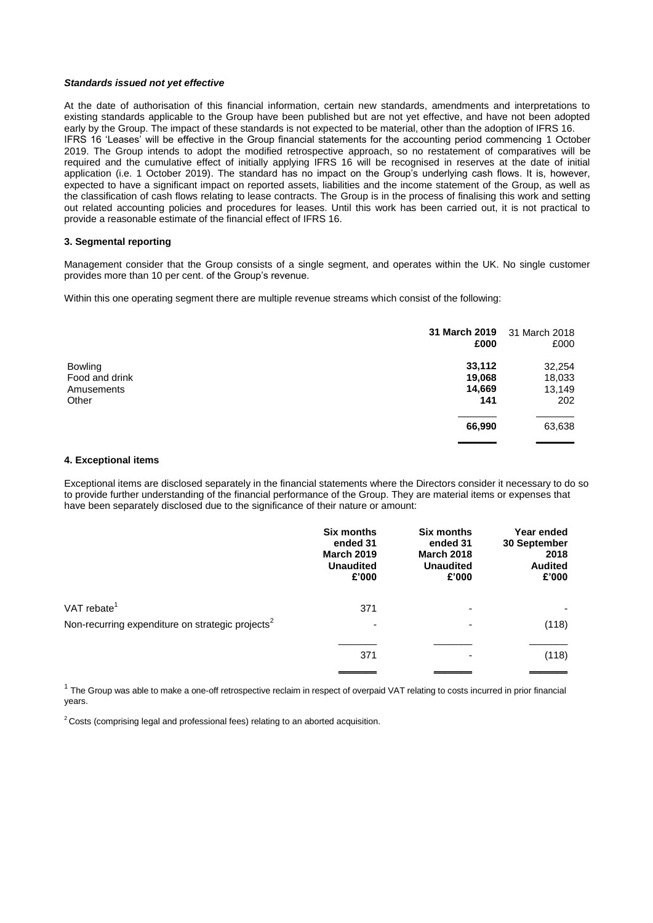### *Standards issued not yet effective*

At the date of authorisation of this financial information, certain new standards, amendments and interpretations to existing standards applicable to the Group have been published but are not yet effective, and have not been adopted early by the Group. The impact of these standards is not expected to be material, other than the adoption of IFRS 16. IFRS 16 'Leases' will be effective in the Group financial statements for the accounting period commencing 1 October 2019. The Group intends to adopt the modified retrospective approach, so no restatement of comparatives will be required and the cumulative effect of initially applying IFRS 16 will be recognised in reserves at the date of initial application (i.e. 1 October 2019). The standard has no impact on the Group's underlying cash flows. It is, however, expected to have a significant impact on reported assets, liabilities and the income statement of the Group, as well as the classification of cash flows relating to lease contracts. The Group is in the process of finalising this work and setting out related accounting policies and procedures for leases. Until this work has been carried out, it is not practical to provide a reasonable estimate of the financial effect of IFRS 16.

### **3. Segmental reporting**

Management consider that the Group consists of a single segment, and operates within the UK. No single customer provides more than 10 per cent. of the Group's revenue.

Within this one operating segment there are multiple revenue streams which consist of the following:

|                | 31 March 2019<br>£000 | 31 March 2018<br>£000 |
|----------------|-----------------------|-----------------------|
| <b>Bowling</b> | 33,112                | 32,254                |
| Food and drink | 19,068                | 18,033                |
| Amusements     | 14,669                | 13,149                |
| Other          | 141                   | 202                   |
|                | 66,990                | 63,638                |
|                |                       |                       |

### **4. Exceptional items**

Exceptional items are disclosed separately in the financial statements where the Directors consider it necessary to do so to provide further understanding of the financial performance of the Group. They are material items or expenses that have been separately disclosed due to the significance of their nature or amount:

|                                                              | <b>Six months</b><br>ended 31<br><b>March 2019</b><br><b>Unaudited</b><br>£'000 | <b>Six months</b><br>ended 31<br><b>March 2018</b><br><b>Unaudited</b><br>£'000 | Year ended<br>30 September<br>2018<br><b>Audited</b><br>£'000 |
|--------------------------------------------------------------|---------------------------------------------------------------------------------|---------------------------------------------------------------------------------|---------------------------------------------------------------|
| VAT rebate <sup>1</sup>                                      | 371                                                                             | -                                                                               |                                                               |
| Non-recurring expenditure on strategic projects <sup>2</sup> | ۰                                                                               | -                                                                               | (118)                                                         |
|                                                              | 371                                                                             |                                                                                 | (118)                                                         |

 $1$  The Group was able to make a one-off retrospective reclaim in respect of overpaid VAT relating to costs incurred in prior financial years.

 $2$  Costs (comprising legal and professional fees) relating to an aborted acquisition.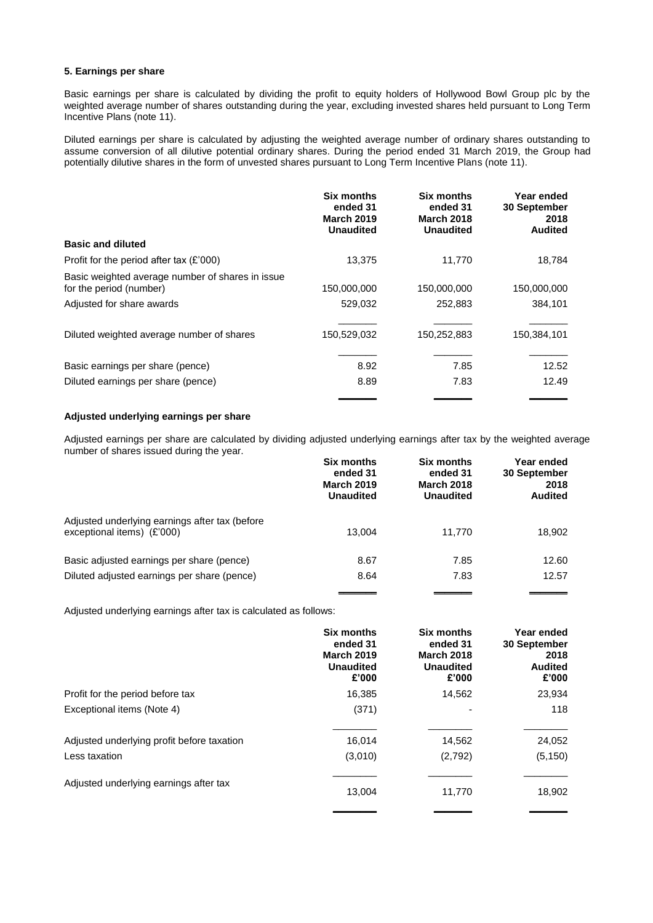### **5. Earnings per share**

Basic earnings per share is calculated by dividing the profit to equity holders of Hollywood Bowl Group plc by the weighted average number of shares outstanding during the year, excluding invested shares held pursuant to Long Term Incentive Plans (note 11).

Diluted earnings per share is calculated by adjusting the weighted average number of ordinary shares outstanding to assume conversion of all dilutive potential ordinary shares. During the period ended 31 March 2019, the Group had potentially dilutive shares in the form of unvested shares pursuant to Long Term Incentive Plans (note 11).

|                                                                             | <b>Six months</b><br>ended 31<br><b>March 2019</b><br><b>Unaudited</b> | Six months<br>ended 31<br><b>March 2018</b><br><b>Unaudited</b> | Year ended<br><b>30 September</b><br>2018<br><b>Audited</b> |
|-----------------------------------------------------------------------------|------------------------------------------------------------------------|-----------------------------------------------------------------|-------------------------------------------------------------|
| <b>Basic and diluted</b>                                                    |                                                                        |                                                                 |                                                             |
| Profit for the period after tax (£'000)                                     | 13.375                                                                 | 11,770                                                          | 18,784                                                      |
| Basic weighted average number of shares in issue<br>for the period (number) | 150,000,000                                                            | 150,000,000                                                     | 150,000,000                                                 |
| Adjusted for share awards                                                   | 529.032                                                                | 252,883                                                         | 384.101                                                     |
| Diluted weighted average number of shares                                   | 150,529,032                                                            | 150,252,883                                                     | 150,384,101                                                 |
| Basic earnings per share (pence)                                            | 8.92                                                                   | 7.85                                                            | 12.52                                                       |
| Diluted earnings per share (pence)                                          | 8.89                                                                   | 7.83                                                            | 12.49                                                       |
|                                                                             |                                                                        |                                                                 |                                                             |

## **Adjusted underlying earnings per share**

Adjusted earnings per share are calculated by dividing adjusted underlying earnings after tax by the weighted average number of shares issued during the year.

|                                                                              | <b>Six months</b><br>ended 31<br><b>March 2019</b><br><b>Unaudited</b> | <b>Six months</b><br>ended 31<br><b>March 2018</b><br><b>Unaudited</b> | Year ended<br><b>30 September</b><br>2018<br><b>Audited</b> |
|------------------------------------------------------------------------------|------------------------------------------------------------------------|------------------------------------------------------------------------|-------------------------------------------------------------|
| Adjusted underlying earnings after tax (before<br>exceptional items) (£'000) | 13.004                                                                 | 11.770                                                                 | 18,902                                                      |
| Basic adjusted earnings per share (pence)                                    | 8.67                                                                   | 7.85                                                                   | 12.60                                                       |
| Diluted adjusted earnings per share (pence)                                  | 8.64                                                                   | 7.83                                                                   | 12.57                                                       |
|                                                                              |                                                                        |                                                                        |                                                             |

Adjusted underlying earnings after tax is calculated as follows:

|                                            | Six months<br>ended 31<br><b>March 2019</b><br><b>Unaudited</b><br>£'000 | <b>Six months</b><br>ended 31<br><b>March 2018</b><br><b>Unaudited</b><br>£'000 | Year ended<br>30 September<br>2018<br><b>Audited</b><br>£'000 |
|--------------------------------------------|--------------------------------------------------------------------------|---------------------------------------------------------------------------------|---------------------------------------------------------------|
| Profit for the period before tax           | 16,385                                                                   | 14,562                                                                          | 23,934                                                        |
| Exceptional items (Note 4)                 | (371)                                                                    |                                                                                 | 118                                                           |
| Adjusted underlying profit before taxation | 16,014                                                                   | 14,562                                                                          | 24,052                                                        |
| Less taxation                              | (3,010)                                                                  | (2,792)                                                                         | (5, 150)                                                      |
| Adjusted underlying earnings after tax     | 13,004                                                                   | 11,770                                                                          | 18,902                                                        |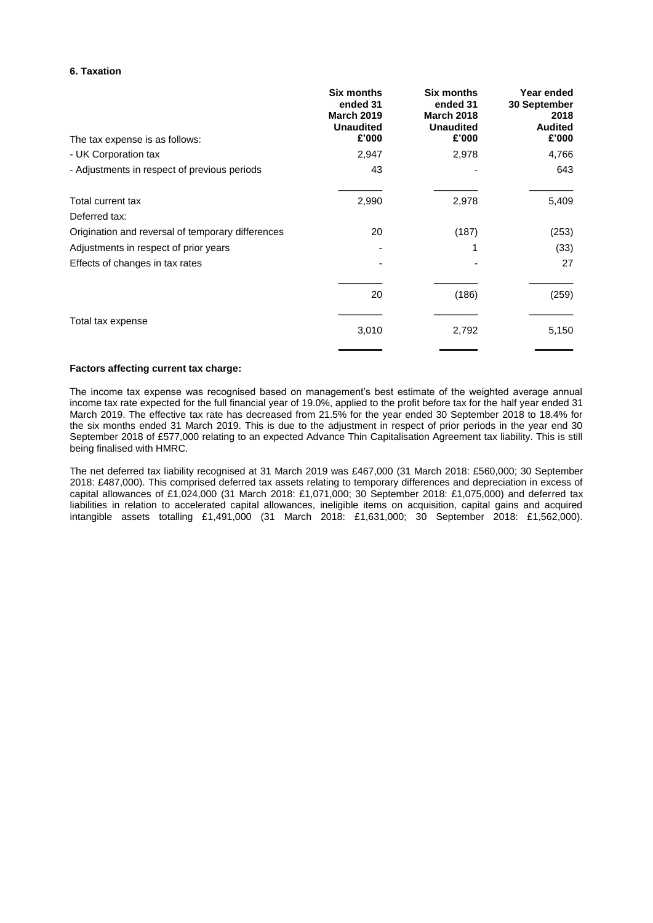### **6. Taxation**

| <b>Six months</b><br>ended 31<br><b>March 2019</b><br><b>Unaudited</b><br>£'000 | <b>Six months</b><br>ended 31<br><b>March 2018</b><br><b>Unaudited</b><br>£'000 | Year ended<br>30 September<br>2018<br><b>Audited</b><br>£'000 |
|---------------------------------------------------------------------------------|---------------------------------------------------------------------------------|---------------------------------------------------------------|
| 2,947                                                                           | 2,978                                                                           | 4,766                                                         |
| 43                                                                              |                                                                                 | 643                                                           |
| 2,990                                                                           | 2,978                                                                           | 5,409                                                         |
|                                                                                 |                                                                                 |                                                               |
| 20                                                                              | (187)                                                                           | (253)                                                         |
|                                                                                 |                                                                                 | (33)                                                          |
|                                                                                 |                                                                                 | 27                                                            |
| 20                                                                              | (186)                                                                           | (259)                                                         |
| 3,010                                                                           | 2,792                                                                           | 5,150                                                         |
|                                                                                 |                                                                                 |                                                               |

## **Factors affecting current tax charge:**

The income tax expense was recognised based on management's best estimate of the weighted average annual income tax rate expected for the full financial year of 19.0%, applied to the profit before tax for the half year ended 31 March 2019. The effective tax rate has decreased from 21.5% for the year ended 30 September 2018 to 18.4% for the six months ended 31 March 2019. This is due to the adjustment in respect of prior periods in the year end 30 September 2018 of £577,000 relating to an expected Advance Thin Capitalisation Agreement tax liability. This is still being finalised with HMRC.

The net deferred tax liability recognised at 31 March 2019 was £467,000 (31 March 2018: £560,000; 30 September 2018: £487,000). This comprised deferred tax assets relating to temporary differences and depreciation in excess of capital allowances of £1,024,000 (31 March 2018: £1,071,000; 30 September 2018: £1,075,000) and deferred tax liabilities in relation to accelerated capital allowances, ineligible items on acquisition, capital gains and acquired intangible assets totalling £1,491,000 (31 March 2018: £1,631,000; 30 September 2018: £1,562,000).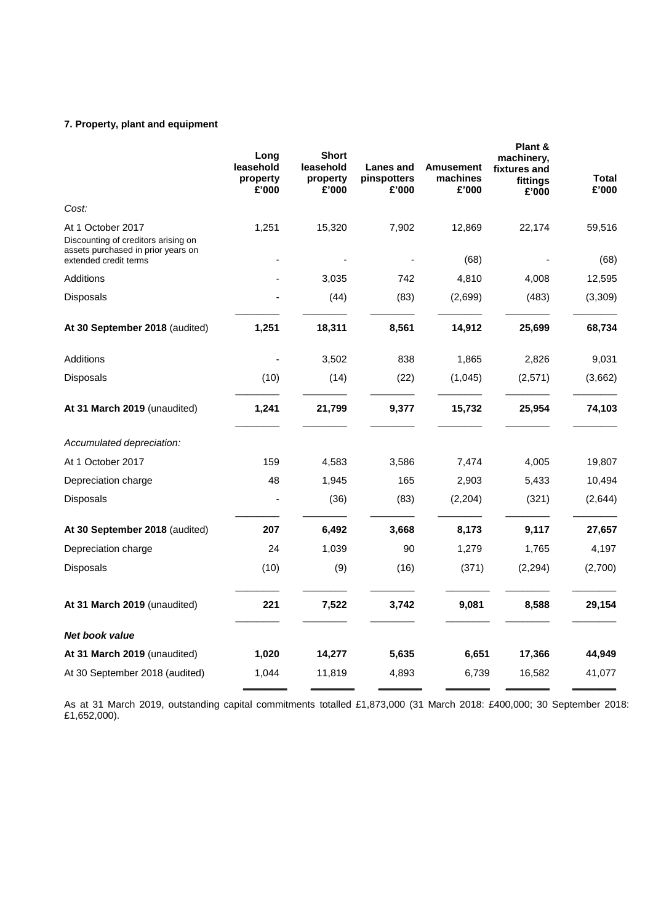## **7. Property, plant and equipment**

|                                                                                                                         | Long<br>leasehold<br>property<br>£'000 | <b>Short</b><br>leasehold<br>property<br>£'000 | <b>Lanes and</b><br>pinspotters<br>£'000 | <b>Amusement</b><br>machines<br>£'000 | Plant &<br>machinery,<br>fixtures and<br>fittings<br>£'000 | <b>Total</b><br>£'000 |
|-------------------------------------------------------------------------------------------------------------------------|----------------------------------------|------------------------------------------------|------------------------------------------|---------------------------------------|------------------------------------------------------------|-----------------------|
| Cost:                                                                                                                   |                                        |                                                |                                          |                                       |                                                            |                       |
| At 1 October 2017<br>Discounting of creditors arising on<br>assets purchased in prior years on<br>extended credit terms | 1,251                                  | 15,320                                         | 7,902                                    | 12,869<br>(68)                        | 22,174                                                     | 59,516<br>(68)        |
| Additions                                                                                                               |                                        | 3,035                                          | 742                                      | 4,810                                 | 4,008                                                      | 12,595                |
| Disposals                                                                                                               |                                        | (44)                                           | (83)                                     | (2,699)                               | (483)                                                      | (3,309)               |
| At 30 September 2018 (audited)                                                                                          | 1,251                                  | 18,311                                         | 8,561                                    | 14,912                                | 25,699                                                     | 68,734                |
| Additions                                                                                                               |                                        | 3,502                                          | 838                                      | 1,865                                 | 2,826                                                      | 9,031                 |
| Disposals                                                                                                               | (10)                                   | (14)                                           | (22)                                     | (1,045)                               | (2,571)                                                    | (3,662)               |
| At 31 March 2019 (unaudited)                                                                                            | 1,241                                  | 21,799                                         | 9,377                                    | 15,732                                | 25,954                                                     | 74,103                |
| Accumulated depreciation:                                                                                               |                                        |                                                |                                          |                                       |                                                            |                       |
| At 1 October 2017                                                                                                       | 159                                    | 4,583                                          | 3,586                                    | 7,474                                 | 4,005                                                      | 19,807                |
| Depreciation charge                                                                                                     | 48                                     | 1,945                                          | 165                                      | 2,903                                 | 5,433                                                      | 10,494                |
| Disposals                                                                                                               |                                        | (36)                                           | (83)                                     | (2,204)                               | (321)                                                      | (2,644)               |
| At 30 September 2018 (audited)                                                                                          | 207                                    | 6,492                                          | 3,668                                    | 8,173                                 | 9,117                                                      | 27,657                |
| Depreciation charge                                                                                                     | 24                                     | 1,039                                          | 90                                       | 1,279                                 | 1,765                                                      | 4,197                 |
| Disposals                                                                                                               | (10)                                   | (9)                                            | (16)                                     | (371)                                 | (2, 294)                                                   | (2,700)               |
| At 31 March 2019 (unaudited)                                                                                            | 221                                    | 7,522                                          | 3,742                                    | 9,081                                 | 8,588                                                      | 29,154                |
| <b>Net book value</b>                                                                                                   |                                        |                                                |                                          |                                       |                                                            |                       |
| At 31 March 2019 (unaudited)                                                                                            | 1,020                                  | 14,277                                         | 5,635                                    | 6,651                                 | 17,366                                                     | 44,949                |
| At 30 September 2018 (audited)                                                                                          | 1,044                                  | 11,819                                         | 4,893                                    | 6.739                                 | 16,582                                                     | 41,077                |

As at 31 March 2019, outstanding capital commitments totalled £1,873,000 (31 March 2018: £400,000; 30 September 2018: £1,652,000).  $3.000(31 \text{ March } 2018)$  f/00.000:  $30.$  Sentember  $2$  $\overline{a}$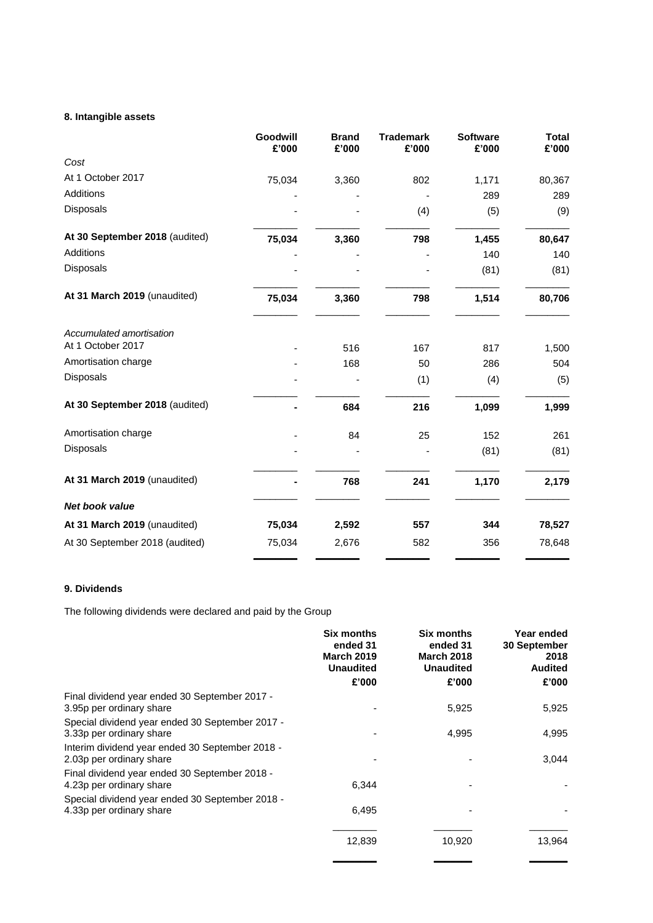## **8. Intangible assets**

|                                               | Goodwill<br>£'000 | <b>Brand</b><br>£'000 | <b>Trademark</b><br>£'000 | <b>Software</b><br>£'000 | <b>Total</b><br>£'000 |
|-----------------------------------------------|-------------------|-----------------------|---------------------------|--------------------------|-----------------------|
| Cost                                          |                   |                       |                           |                          |                       |
| At 1 October 2017                             | 75,034            | 3,360                 | 802                       | 1,171                    | 80,367                |
| Additions                                     |                   |                       |                           | 289                      | 289                   |
| Disposals                                     |                   |                       | (4)                       | (5)                      | (9)                   |
| At 30 September 2018 (audited)                | 75,034            | 3,360                 | 798                       | 1,455                    | 80,647                |
| <b>Additions</b>                              |                   |                       |                           | 140                      | 140                   |
| Disposals                                     |                   |                       |                           | (81)                     | (81)                  |
| At 31 March 2019 (unaudited)                  | 75,034            | 3,360                 | 798                       | 1,514                    | 80,706                |
| Accumulated amortisation<br>At 1 October 2017 |                   |                       |                           |                          |                       |
|                                               |                   | 516                   | 167                       | 817                      | 1,500                 |
| Amortisation charge                           |                   | 168                   | 50                        | 286                      | 504                   |
| Disposals                                     |                   |                       | (1)                       | (4)                      | (5)                   |
| At 30 September 2018 (audited)                |                   | 684                   | 216                       | 1,099                    | 1,999                 |
| Amortisation charge                           |                   | 84                    | 25                        | 152                      | 261                   |
| Disposals                                     |                   |                       |                           | (81)                     | (81)                  |
| At 31 March 2019 (unaudited)                  |                   | 768                   | 241                       | 1,170                    | 2,179                 |
| <b>Net book value</b>                         |                   |                       |                           |                          |                       |
| At 31 March 2019 (unaudited)                  | 75,034            | 2,592                 | 557                       | 344                      | 78,527                |
| At 30 September 2018 (audited)                | 75,034            | 2,676                 | 582                       | 356                      | 78,648                |

## **9. Dividends**

The following dividends were declared and paid by the Group

|                                                                             | <b>Six months</b><br>ended 31<br><b>March 2019</b><br><b>Unaudited</b><br>£'000 | <b>Six months</b><br>ended 31<br><b>March 2018</b><br><b>Unaudited</b><br>£'000 | Year ended<br>30 September<br>2018<br><b>Audited</b><br>£'000 |
|-----------------------------------------------------------------------------|---------------------------------------------------------------------------------|---------------------------------------------------------------------------------|---------------------------------------------------------------|
| Final dividend year ended 30 September 2017 -<br>3.95p per ordinary share   |                                                                                 | 5,925                                                                           | 5,925                                                         |
|                                                                             |                                                                                 |                                                                                 |                                                               |
| Special dividend year ended 30 September 2017 -<br>3.33p per ordinary share |                                                                                 | 4,995                                                                           | 4,995                                                         |
| Interim dividend year ended 30 September 2018 -<br>2.03p per ordinary share |                                                                                 |                                                                                 | 3,044                                                         |
| Final dividend year ended 30 September 2018 -<br>4.23p per ordinary share   | 6,344                                                                           |                                                                                 |                                                               |
| Special dividend year ended 30 September 2018 -                             |                                                                                 |                                                                                 |                                                               |
| 4.33p per ordinary share                                                    | 6,495                                                                           |                                                                                 |                                                               |
|                                                                             | 12,839                                                                          | 10,920                                                                          | 13.964                                                        |

\_\_\_\_\_\_\_\_ \_\_\_\_\_\_\_ \_\_\_\_\_\_\_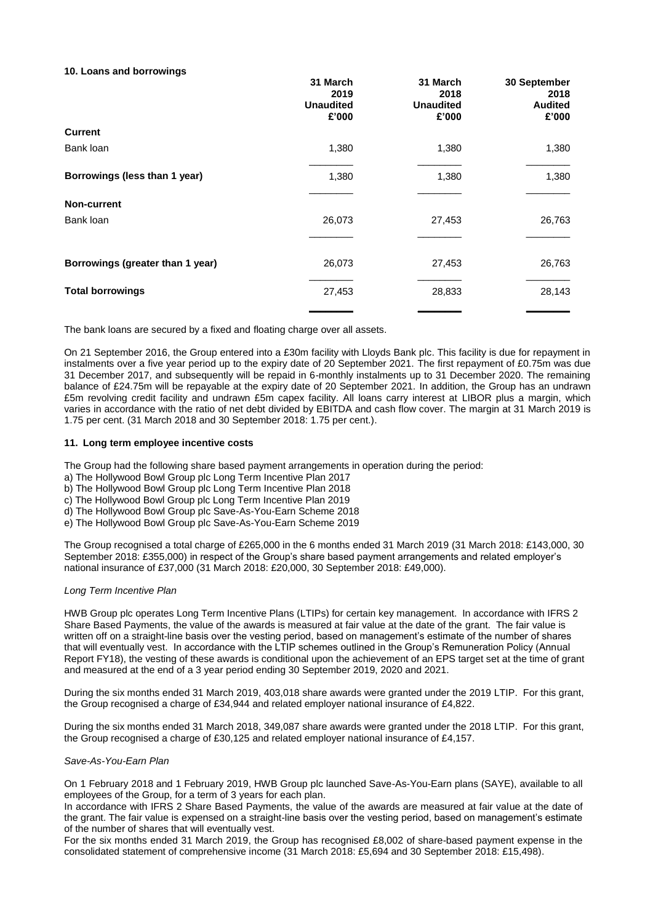### **10. Loans and borrowings**

|                                  | 31 March<br>2019<br><b>Unaudited</b><br>£'000 | 31 March<br>2018<br><b>Unaudited</b><br>£'000 | 30 September<br>2018<br><b>Audited</b><br>£'000 |
|----------------------------------|-----------------------------------------------|-----------------------------------------------|-------------------------------------------------|
| <b>Current</b>                   |                                               |                                               |                                                 |
| Bank loan                        | 1,380                                         | 1,380                                         | 1,380                                           |
| Borrowings (less than 1 year)    | 1,380                                         | 1,380                                         | 1,380                                           |
| <b>Non-current</b>               |                                               |                                               |                                                 |
| Bank loan                        | 26,073                                        | 27,453                                        | 26,763                                          |
| Borrowings (greater than 1 year) | 26,073                                        | 27,453                                        | 26,763                                          |
| <b>Total borrowings</b>          | 27,453                                        | 28,833                                        | 28,143                                          |
|                                  |                                               |                                               |                                                 |

The bank loans are secured by a fixed and floating charge over all assets.

On 21 September 2016, the Group entered into a £30m facility with Lloyds Bank plc. This facility is due for repayment in instalments over a five year period up to the expiry date of 20 September 2021. The first repayment of £0.75m was due 31 December 2017, and subsequently will be repaid in 6-monthly instalments up to 31 December 2020. The remaining balance of £24.75m will be repayable at the expiry date of 20 September 2021. In addition, the Group has an undrawn £5m revolving credit facility and undrawn £5m capex facility. All loans carry interest at LIBOR plus a margin, which varies in accordance with the ratio of net debt divided by EBITDA and cash flow cover. The margin at 31 March 2019 is 1.75 per cent. (31 March 2018 and 30 September 2018: 1.75 per cent.).

### **11. Long term employee incentive costs**

The Group had the following share based payment arrangements in operation during the period:

- a) The Hollywood Bowl Group plc Long Term Incentive Plan 2017
- b) The Hollywood Bowl Group plc Long Term Incentive Plan 2018
- c) The Hollywood Bowl Group plc Long Term Incentive Plan 2019
- d) The Hollywood Bowl Group plc Save-As-You-Earn Scheme 2018
- e) The Hollywood Bowl Group plc Save-As-You-Earn Scheme 2019

The Group recognised a total charge of £265,000 in the 6 months ended 31 March 2019 (31 March 2018: £143,000, 30 September 2018: £355,000) in respect of the Group's share based payment arrangements and related employer's national insurance of £37,000 (31 March 2018: £20,000, 30 September 2018: £49,000).

### *Long Term Incentive Plan*

HWB Group plc operates Long Term Incentive Plans (LTIPs) for certain key management. In accordance with IFRS 2 Share Based Payments, the value of the awards is measured at fair value at the date of the grant. The fair value is written off on a straight-line basis over the vesting period, based on management's estimate of the number of shares that will eventually vest. In accordance with the LTIP schemes outlined in the Group's Remuneration Policy (Annual Report FY18), the vesting of these awards is conditional upon the achievement of an EPS target set at the time of grant and measured at the end of a 3 year period ending 30 September 2019, 2020 and 2021.

During the six months ended 31 March 2019, 403,018 share awards were granted under the 2019 LTIP. For this grant, the Group recognised a charge of £34,944 and related employer national insurance of £4,822.

During the six months ended 31 March 2018, 349,087 share awards were granted under the 2018 LTIP. For this grant, the Group recognised a charge of £30,125 and related employer national insurance of £4,157.

### *Save-As-You-Earn Plan*

On 1 February 2018 and 1 February 2019, HWB Group plc launched Save-As-You-Earn plans (SAYE), available to all employees of the Group, for a term of 3 years for each plan.

In accordance with IFRS 2 Share Based Payments, the value of the awards are measured at fair value at the date of the grant. The fair value is expensed on a straight-line basis over the vesting period, based on management's estimate of the number of shares that will eventually vest.

For the six months ended 31 March 2019, the Group has recognised £8,002 of share-based payment expense in the consolidated statement of comprehensive income (31 March 2018: £5,694 and 30 September 2018: £15,498).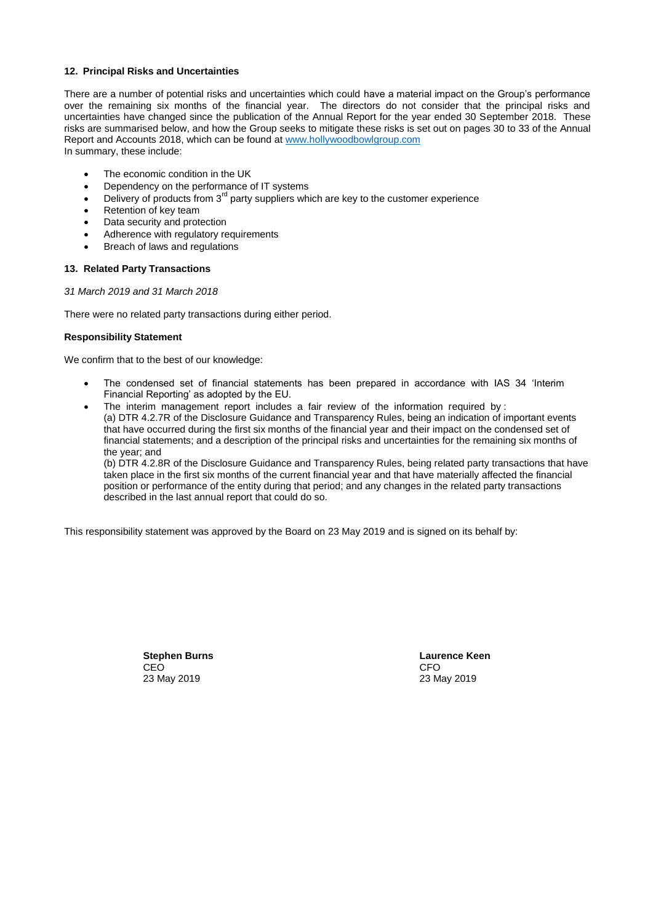### **12. Principal Risks and Uncertainties**

There are a number of potential risks and uncertainties which could have a material impact on the Group's performance over the remaining six months of the financial year. The directors do not consider that the principal risks and uncertainties have changed since the publication of the Annual Report for the year ended 30 September 2018. These risks are summarised below, and how the Group seeks to mitigate these risks is set out on pages 30 to 33 of the Annual Report and Accounts 2018, which can be found at [www.hollywoodbowlgroup.com](http://www.hollywoodbowlgroup.com/) In summary, these include:

- The economic condition in the UK
- Dependency on the performance of IT systems
- Delivery of products from  $3<sup>rd</sup>$  party suppliers which are key to the customer experience
- Retention of key team
- Data security and protection
- Adherence with regulatory requirements
- Breach of laws and regulations

### **13. Related Party Transactions**

### *31 March 2019 and 31 March 2018*

There were no related party transactions during either period.

### **Responsibility Statement**

We confirm that to the best of our knowledge:

- The condensed set of financial statements has been prepared in accordance with IAS 34 'Interim Financial Reporting' as adopted by the EU.
- The interim management report includes a fair review of the information required by : (a) DTR 4.2.7R of the Disclosure Guidance and Transparency Rules, being an indication of important events that have occurred during the first six months of the financial year and their impact on the condensed set of financial statements; and a description of the principal risks and uncertainties for the remaining six months of the year; and

(b) DTR 4.2.8R of the Disclosure Guidance and Transparency Rules, being related party transactions that have taken place in the first six months of the current financial year and that have materially affected the financial position or performance of the entity during that period; and any changes in the related party transactions described in the last annual report that could do so.

This responsibility statement was approved by the Board on 23 May 2019 and is signed on its behalf by:

**Stephen Burns Laurence Keen** CEO CEO CHE ANNO 1999, CHE ANNO 1999, CHE ANNO 1999, CHE ANNO 1999, CHE ANNO 1999, CHE ANNO 1999, CHE ANNO 199 23 May 2019 23 May 2019